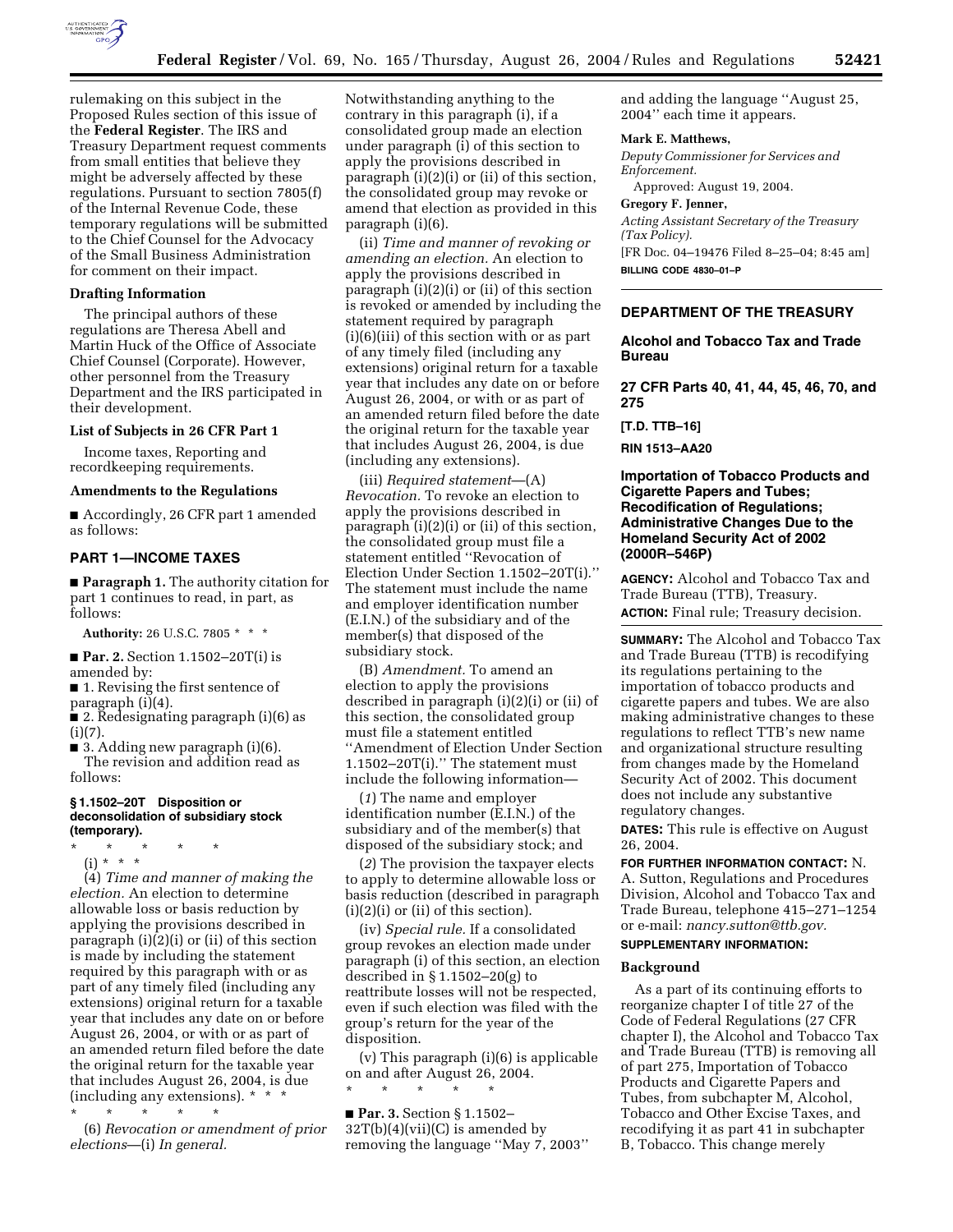

rulemaking on this subject in the Proposed Rules section of this issue of the **Federal Register**. The IRS and Treasury Department request comments from small entities that believe they might be adversely affected by these regulations. Pursuant to section 7805(f) of the Internal Revenue Code, these temporary regulations will be submitted to the Chief Counsel for the Advocacy of the Small Business Administration for comment on their impact.

#### **Drafting Information**

The principal authors of these regulations are Theresa Abell and Martin Huck of the Office of Associate Chief Counsel (Corporate). However, other personnel from the Treasury Department and the IRS participated in their development.

#### **List of Subjects in 26 CFR Part 1**

Income taxes, Reporting and recordkeeping requirements.

#### **Amendments to the Regulations**

■ Accordingly, 26 CFR part 1 amended as follows:

### **PART 1—INCOME TAXES**

■ **Paragraph 1.** The authority citation for part 1 continues to read, in part, as follows:

**Authority:** 26 U.S.C. 7805 \* \* \*

■ **Par. 2.** Section 1.1502–20T(i) is amended by:

■ 1. Revising the first sentence of paragraph (i)(4).

■ 2. Redesignating paragraph (i)(6) as  $(i)(7)$ .

■ 3. Adding new paragraph (i)(6). The revision and addition read as follows:

### **§ 1.1502–20T Disposition or deconsolidation of subsidiary stock (temporary).**

- \* \* \* \* \*
	- (i) \* \* \*

(4) *Time and manner of making the election.* An election to determine allowable loss or basis reduction by applying the provisions described in paragraph (i)(2)(i) or (ii) of this section is made by including the statement required by this paragraph with or as part of any timely filed (including any extensions) original return for a taxable year that includes any date on or before August 26, 2004, or with or as part of an amended return filed before the date the original return for the taxable year that includes August 26, 2004, is due (including any extensions). \* \* \*

\* \* \* \* \* (6) *Revocation or amendment of prior elections*—(i) *In general.*

Notwithstanding anything to the contrary in this paragraph (i), if a consolidated group made an election under paragraph (i) of this section to apply the provisions described in paragraph (i)(2)(i) or (ii) of this section, the consolidated group may revoke or amend that election as provided in this paragraph (i)(6).

(ii) *Time and manner of revoking or amending an election.* An election to apply the provisions described in paragraph (i)(2)(i) or (ii) of this section is revoked or amended by including the statement required by paragraph (i)(6)(iii) of this section with or as part of any timely filed (including any extensions) original return for a taxable year that includes any date on or before August 26, 2004, or with or as part of an amended return filed before the date the original return for the taxable year that includes August 26, 2004, is due (including any extensions).

(iii) *Required statement*—(A) *Revocation.* To revoke an election to apply the provisions described in paragraph (i)(2)(i) or (ii) of this section, the consolidated group must file a statement entitled ''Revocation of Election Under Section 1.1502–20T(i).'' The statement must include the name and employer identification number (E.I.N.) of the subsidiary and of the member(s) that disposed of the subsidiary stock.

(B) *Amendment.* To amend an election to apply the provisions described in paragraph (i)(2)(i) or (ii) of this section, the consolidated group must file a statement entitled ''Amendment of Election Under Section 1.1502–20T(i).'' The statement must include the following information—

(*1*) The name and employer identification number (E.I.N.) of the subsidiary and of the member(s) that disposed of the subsidiary stock; and

(*2*) The provision the taxpayer elects to apply to determine allowable loss or basis reduction (described in paragraph (i)(2)(i) or (ii) of this section).

(iv) *Special rule.* If a consolidated group revokes an election made under paragraph (i) of this section, an election described in § 1.1502–20(g) to reattribute losses will not be respected, even if such election was filed with the group's return for the year of the disposition.

(v) This paragraph (i)(6) is applicable on and after August 26, 2004.

\* \* \* \* \*

■ **Par. 3.** Section § 1.1502- $32T(b)(4)(vii)(C)$  is amended by removing the language ''May 7, 2003'' and adding the language ''August 25, 2004'' each time it appears.

#### **Mark E. Matthews,**

*Deputy Commissioner for Services and Enforcement.* 

Approved: August 19, 2004.

## **Gregory F. Jenner,**

*Acting Assistant Secretary of the Treasury (Tax Policy).* [FR Doc. 04–19476 Filed 8–25–04; 8:45 am] **BILLING CODE 4830–01–P**

### **DEPARTMENT OF THE TREASURY**

## **Alcohol and Tobacco Tax and Trade Bureau**

**27 CFR Parts 40, 41, 44, 45, 46, 70, and 275** 

**[T.D. TTB–16]** 

**RIN 1513–AA20** 

## **Importation of Tobacco Products and Cigarette Papers and Tubes; Recodification of Regulations; Administrative Changes Due to the Homeland Security Act of 2002 (2000R–546P)**

**AGENCY:** Alcohol and Tobacco Tax and Trade Bureau (TTB), Treasury.

**ACTION:** Final rule; Treasury decision.

**SUMMARY:** The Alcohol and Tobacco Tax and Trade Bureau (TTB) is recodifying its regulations pertaining to the importation of tobacco products and cigarette papers and tubes. We are also making administrative changes to these regulations to reflect TTB's new name and organizational structure resulting from changes made by the Homeland Security Act of 2002. This document does not include any substantive regulatory changes.

**DATES:** This rule is effective on August 26, 2004.

**FOR FURTHER INFORMATION CONTACT:** N. A. Sutton, Regulations and Procedures

Division, Alcohol and Tobacco Tax and Trade Bureau, telephone 415–271–1254 or e-mail: *nancy.sutton@ttb.gov.*

# **SUPPLEMENTARY INFORMATION:**

### **Background**

As a part of its continuing efforts to reorganize chapter I of title 27 of the Code of Federal Regulations (27 CFR chapter I), the Alcohol and Tobacco Tax and Trade Bureau (TTB) is removing all of part 275, Importation of Tobacco Products and Cigarette Papers and Tubes, from subchapter M, Alcohol, Tobacco and Other Excise Taxes, and recodifying it as part 41 in subchapter B, Tobacco. This change merely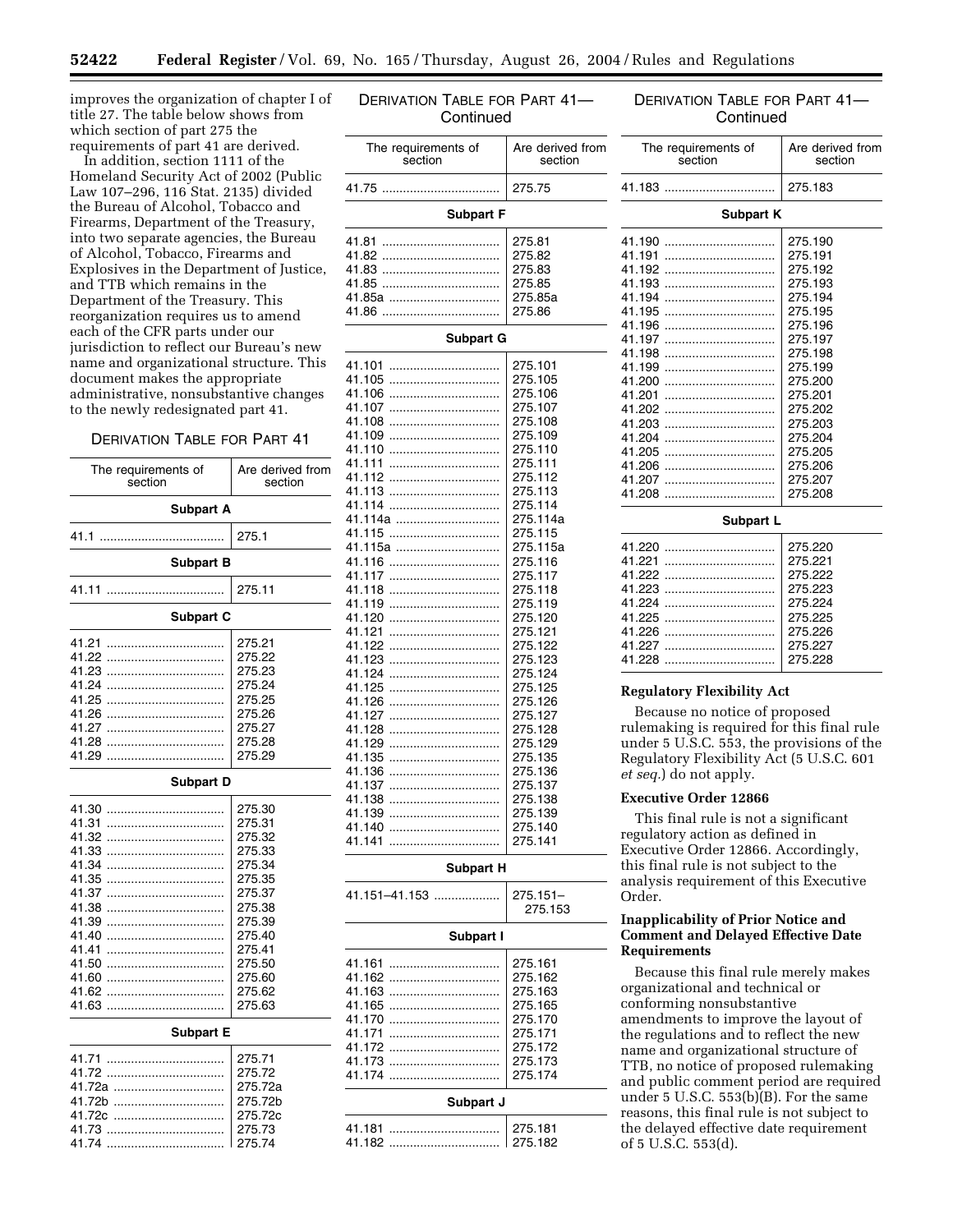DERIVATION TABLE FOR PART 41—

improves the organization of chapter I of title 27. The table below shows from which section of part 275 the requirements of part 41 are derived.

In addition, section 1111 of the Homeland Security Act of 2002 (Public Law 107–296, 116 Stat. 2135) divided the Bureau of Alcohol, Tobacco and Firearms, Department of the Treasury, into two separate agencies, the Bureau of Alcohol, Tobacco, Firearms and Explosives in the Department of Justice, and TTB which remains in the Department of the Treasury. This reorganization requires us to amend each of the CFR parts under our jurisdiction to reflect our Bureau's new name and organizational structure. This document makes the appropriate administrative, nonsubstantive changes to the newly redesignated part 41.

### DERIVATION TABLE FOR PART 41

| The requirements of<br>section                                                                                                      | Are derived from<br>section                                                                                                                        |  |  |
|-------------------------------------------------------------------------------------------------------------------------------------|----------------------------------------------------------------------------------------------------------------------------------------------------|--|--|
| <b>Subpart A</b>                                                                                                                    |                                                                                                                                                    |  |  |
| 41.1<br>.<br>.                                                                                                                      | 275.1                                                                                                                                              |  |  |
| <b>Subpart B</b>                                                                                                                    |                                                                                                                                                    |  |  |
| 41.11<br>.                                                                                                                          | 275.11                                                                                                                                             |  |  |
| <b>Subpart C</b>                                                                                                                    |                                                                                                                                                    |  |  |
| 41.21<br>41.22<br>41.23<br>41.24<br>41.25<br>41.26<br>41.27<br><br>41.28<br>41.29                                                   | 275.21<br>275.22<br>275.23<br>275.24<br>275.25<br>275.26<br>275.27<br>275.28<br>275.29                                                             |  |  |
| <b>Subpart D</b>                                                                                                                    |                                                                                                                                                    |  |  |
| 41.30<br>41.31<br>41.32<br>41.33<br>41.34<br>41.35<br>41.37<br>41.38<br>41.39<br>41.40<br>41.41<br>41.50<br>41.60<br>41.62<br>41.63 | 275.30<br>275.31<br>275.32<br>275.33<br>275.34<br>275.35<br>275.37<br>275.38<br>275.39<br>275.40<br>275.41<br>275.50<br>275.60<br>275.62<br>275.63 |  |  |
| <b>Subpart E</b>                                                                                                                    |                                                                                                                                                    |  |  |
| 41.71<br>41.72<br>41.72a<br>41.72b<br>41.72c<br>41.74                                                                               | 275.71<br>275.72<br>275.72a<br>275.72b<br>275.72c<br>275.73<br>275.74                                                                              |  |  |

| Continued                                                                                                                                                                                                                                                                                                                                                                                                                                      |                                                                                                                                                                                                                                                                                                                                                                                      |  |  |
|------------------------------------------------------------------------------------------------------------------------------------------------------------------------------------------------------------------------------------------------------------------------------------------------------------------------------------------------------------------------------------------------------------------------------------------------|--------------------------------------------------------------------------------------------------------------------------------------------------------------------------------------------------------------------------------------------------------------------------------------------------------------------------------------------------------------------------------------|--|--|
| The requirements of<br>section                                                                                                                                                                                                                                                                                                                                                                                                                 | Are derived from<br>section                                                                                                                                                                                                                                                                                                                                                          |  |  |
| 41.75                                                                                                                                                                                                                                                                                                                                                                                                                                          | 275.75                                                                                                                                                                                                                                                                                                                                                                               |  |  |
| <b>Subpart F</b>                                                                                                                                                                                                                                                                                                                                                                                                                               |                                                                                                                                                                                                                                                                                                                                                                                      |  |  |
| 41.81<br>41.82<br>41.83<br>41.85<br>41.85a<br>41.86<br>                                                                                                                                                                                                                                                                                                                                                                                        | 275.81<br>275.82<br>275.83<br>275.85<br>275.85a<br>275.86                                                                                                                                                                                                                                                                                                                            |  |  |
| <b>Subpart G</b>                                                                                                                                                                                                                                                                                                                                                                                                                               |                                                                                                                                                                                                                                                                                                                                                                                      |  |  |
| 41.101<br>41.105<br><br>41.106<br><br>41.107<br><br>41.108<br>41.109<br><br>41.110<br><br>41.111<br><br>41.112<br><br>41.113<br>41.114<br><br>41.114a<br>41.115<br>41.115a<br>41.116<br><br>41.117<br><br>41.118<br><br>41.119<br><br>41.120<br><br>41.121<br><br>41.122<br><br>41.123<br><br>41.124<br><br>41.125<br><br>41.126<br><br>41.127<br><br>41.128<br><br>41.129<br><br>41.135<br>41.136<br>41.137<br>41.138<br>41.139<br><br>41.140 | 275.101<br>275.105<br>275.106<br>275.107<br>275.108<br>275.109<br>275.110<br>275.111<br>275.112<br>275.113<br>275.114<br>275.114a<br>275.115<br>275.115a<br>275.116<br>275.117<br>275.118<br>275.119<br>275.120<br>275.121<br>275.122<br>275.123<br>275.124<br>275.125<br>275.126<br>275.127<br>275.128<br>275.129<br>275.135<br>275.136<br>275.137<br>275.138<br>275.139<br>275.140 |  |  |
| 41.141                                                                                                                                                                                                                                                                                                                                                                                                                                         | 275.141                                                                                                                                                                                                                                                                                                                                                                              |  |  |
| <b>Subpart H</b>                                                                                                                                                                                                                                                                                                                                                                                                                               |                                                                                                                                                                                                                                                                                                                                                                                      |  |  |
| 41.151–41.153                                                                                                                                                                                                                                                                                                                                                                                                                                  | 275.151-<br>275.153                                                                                                                                                                                                                                                                                                                                                                  |  |  |
| Subpart I                                                                                                                                                                                                                                                                                                                                                                                                                                      |                                                                                                                                                                                                                                                                                                                                                                                      |  |  |
| 41.161<br>41.162<br>41.163<br>41.165<br>41.170<br><br>41.171<br><br>41.172<br>41.173<br>41.174                                                                                                                                                                                                                                                                                                                                                 | 275.161<br>275.162<br>275.163<br>275.165<br>275.170<br>275.171<br>275.172<br>275.173<br>275.174                                                                                                                                                                                                                                                                                      |  |  |
| Subpart J                                                                                                                                                                                                                                                                                                                                                                                                                                      |                                                                                                                                                                                                                                                                                                                                                                                      |  |  |
| 41.181<br>.<br>41.182                                                                                                                                                                                                                                                                                                                                                                                                                          | 275.181<br>275.182                                                                                                                                                                                                                                                                                                                                                                   |  |  |

## DERIVATION TABLE FOR PART 41— **Continued**

| The requirements of<br>section | Are derived from<br>section |  |
|--------------------------------|-----------------------------|--|
| 41.183                         | 275.183                     |  |
| <b>Subpart K</b>               |                             |  |
| 41.190                         | 275.190                     |  |
| 41.191                         | 275.191                     |  |
| 41.192                         | 275.192                     |  |
| 41.193                         | 275.193                     |  |
| 41.194                         | 275.194                     |  |
| 41.195                         | 275.195                     |  |
| 41.196                         | 275.196                     |  |
| 41.197                         | 275.197                     |  |
| 41.198                         | 275.198                     |  |
| 41.199                         | 275.199                     |  |
| 41.200                         | 275.200                     |  |
| 41.201                         | 275.201                     |  |
| 41.202                         | 275.202                     |  |
| 41.203                         | 275.203                     |  |
| 41.204                         | 275.204                     |  |
| 41.205                         | 275.205                     |  |
| 41.206                         | 275.206                     |  |
| 41.207                         | 275.207                     |  |
| 41.208                         | 275.208                     |  |
| Subpart L                      |                             |  |
| 41.220                         | 275.220                     |  |
| 41.221                         | 275.221                     |  |
| 41.222                         | 275.222                     |  |
| 41.223                         | 275.223                     |  |
| 41.224                         | 275.224                     |  |
| 41.225                         | 275.225                     |  |
| 41.226                         | 275.226                     |  |
| 41.227                         | 275.227                     |  |
| 41.228                         | 275.228                     |  |

## **Regulatory Flexibility Act**

Because no notice of proposed rulemaking is required for this final rule under 5 U.S.C. 553, the provisions of the Regulatory Flexibility Act (5 U.S.C. 601 *et seq.*) do not apply.

#### **Executive Order 12866**

This final rule is not a significant regulatory action as defined in Executive Order 12866. Accordingly, this final rule is not subject to the analysis requirement of this Executive Order.

### **Inapplicability of Prior Notice and Comment and Delayed Effective Date Requirements**

Because this final rule merely makes organizational and technical or conforming nonsubstantive amendments to improve the layout of the regulations and to reflect the new name and organizational structure of TTB, no notice of proposed rulemaking and public comment period are required under 5 U.S.C.  $553(b)(B)$ . For the same reasons, this final rule is not subject to the delayed effective date requirement of 5 U.S.C. 553(d).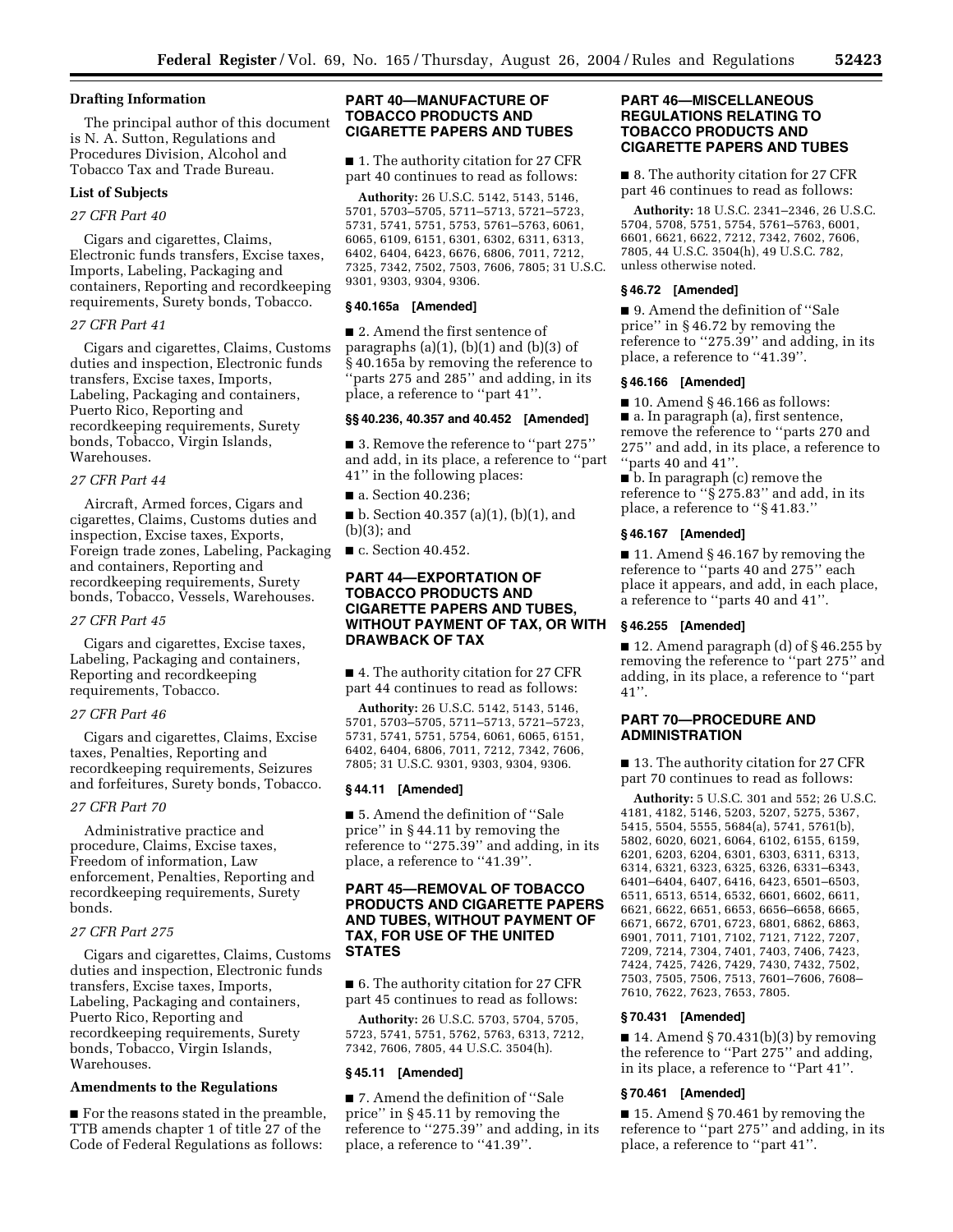# **Drafting Information**

The principal author of this document is N. A. Sutton, Regulations and Procedures Division, Alcohol and Tobacco Tax and Trade Bureau.

## **List of Subjects**

#### *27 CFR Part 40*

Cigars and cigarettes, Claims, Electronic funds transfers, Excise taxes, Imports, Labeling, Packaging and containers, Reporting and recordkeeping requirements, Surety bonds, Tobacco.

### *27 CFR Part 41*

Cigars and cigarettes, Claims, Customs duties and inspection, Electronic funds transfers, Excise taxes, Imports, Labeling, Packaging and containers, Puerto Rico, Reporting and recordkeeping requirements, Surety bonds, Tobacco, Virgin Islands, Warehouses.

#### *27 CFR Part 44*

Aircraft, Armed forces, Cigars and cigarettes, Claims, Customs duties and inspection, Excise taxes, Exports, Foreign trade zones, Labeling, Packaging and containers, Reporting and recordkeeping requirements, Surety bonds, Tobacco, Vessels, Warehouses.

### *27 CFR Part 45*

Cigars and cigarettes, Excise taxes, Labeling, Packaging and containers, Reporting and recordkeeping requirements, Tobacco.

### *27 CFR Part 46*

Cigars and cigarettes, Claims, Excise taxes, Penalties, Reporting and recordkeeping requirements, Seizures and forfeitures, Surety bonds, Tobacco.

#### *27 CFR Part 70*

Administrative practice and procedure, Claims, Excise taxes, Freedom of information, Law enforcement, Penalties, Reporting and recordkeeping requirements, Surety bonds.

## *27 CFR Part 275*

Cigars and cigarettes, Claims, Customs duties and inspection, Electronic funds transfers, Excise taxes, Imports, Labeling, Packaging and containers, Puerto Rico, Reporting and recordkeeping requirements, Surety bonds, Tobacco, Virgin Islands, Warehouses.

## **Amendments to the Regulations**

■ For the reasons stated in the preamble, TTB amends chapter 1 of title 27 of the Code of Federal Regulations as follows:

## **PART 40—MANUFACTURE OF TOBACCO PRODUCTS AND CIGARETTE PAPERS AND TUBES**

■ 1. The authority citation for 27 CFR part 40 continues to read as follows:

**Authority:** 26 U.S.C. 5142, 5143, 5146, 5701, 5703–5705, 5711–5713, 5721–5723, 5731, 5741, 5751, 5753, 5761–5763, 6061, 6065, 6109, 6151, 6301, 6302, 6311, 6313, 6402, 6404, 6423, 6676, 6806, 7011, 7212, 7325, 7342, 7502, 7503, 7606, 7805; 31 U.S.C. 9301, 9303, 9304, 9306.

#### **§ 40.165a [Amended]**

■ 2. Amend the first sentence of paragraphs  $(a)(1)$ ,  $(b)(1)$  and  $(b)(3)$  of § 40.165a by removing the reference to 'parts 275 and 285" and adding, in its place, a reference to ''part 41''.

### **§§ 40.236, 40.357 and 40.452 [Amended]**

■ 3. Remove the reference to "part 275" and add, in its place, a reference to ''part 41'' in the following places:

■ a. Section 40.236;

 $\blacksquare$  b. Section 40.357 (a)(1), (b)(1), and (b)(3); and

■ c. Section 40.452.

## **PART 44—EXPORTATION OF TOBACCO PRODUCTS AND CIGARETTE PAPERS AND TUBES, WITHOUT PAYMENT OF TAX, OR WITH DRAWBACK OF TAX**

■ 4. The authority citation for 27 CFR part 44 continues to read as follows:

**Authority:** 26 U.S.C. 5142, 5143, 5146, 5701, 5703–5705, 5711–5713, 5721–5723, 5731, 5741, 5751, 5754, 6061, 6065, 6151, 6402, 6404, 6806, 7011, 7212, 7342, 7606, 7805; 31 U.S.C. 9301, 9303, 9304, 9306.

#### **§ 44.11 [Amended]**

■ 5. Amend the definition of "Sale price'' in § 44.11 by removing the reference to ''275.39'' and adding, in its place, a reference to ''41.39''.

## **PART 45—REMOVAL OF TOBACCO PRODUCTS AND CIGARETTE PAPERS AND TUBES, WITHOUT PAYMENT OF TAX, FOR USE OF THE UNITED STATES**

■ 6. The authority citation for 27 CFR part 45 continues to read as follows:

**Authority:** 26 U.S.C. 5703, 5704, 5705, 5723, 5741, 5751, 5762, 5763, 6313, 7212, 7342, 7606, 7805, 44 U.S.C. 3504(h).

## **§ 45.11 [Amended]**

■ 7. Amend the definition of "Sale price'' in § 45.11 by removing the reference to ''275.39'' and adding, in its place, a reference to ''41.39''.

## **PART 46—MISCELLANEOUS REGULATIONS RELATING TO TOBACCO PRODUCTS AND CIGARETTE PAPERS AND TUBES**

■ 8. The authority citation for 27 CFR part 46 continues to read as follows:

**Authority:** 18 U.S.C. 2341–2346, 26 U.S.C. 5704, 5708, 5751, 5754, 5761–5763, 6001, 6601, 6621, 6622, 7212, 7342, 7602, 7606, 7805, 44 U.S.C. 3504(h), 49 U.S.C. 782, unless otherwise noted.

#### **§ 46.72 [Amended]**

■ 9. Amend the definition of "Sale price'' in § 46.72 by removing the reference to "275.39" and adding, in its place, a reference to ''41.39''.

### **§ 46.166 [Amended]**

 $\blacksquare$  10. Amend § 46.166 as follows: ■ a. In paragraph (a), first sentence, remove the reference to ''parts 270 and 275'' and add, in its place, a reference to  $\lq\lq$  parts 40 and 41".

■ b. In paragraph (c) remove the reference to ''§ 275.83'' and add, in its place, a reference to ''§ 41.83.''

#### **§ 46.167 [Amended]**

■ 11. Amend § 46.167 by removing the reference to ''parts 40 and 275'' each place it appears, and add, in each place, a reference to ''parts 40 and 41''.

#### **§ 46.255 [Amended]**

■ 12. Amend paragraph (d) of § 46.255 by removing the reference to ''part 275'' and adding, in its place, a reference to ''part 41''.

## **PART 70—PROCEDURE AND ADMINISTRATION**

■ 13. The authority citation for 27 CFR part 70 continues to read as follows:

**Authority:** 5 U.S.C. 301 and 552; 26 U.S.C. 4181, 4182, 5146, 5203, 5207, 5275, 5367, 5415, 5504, 5555, 5684(a), 5741, 5761(b), 5802, 6020, 6021, 6064, 6102, 6155, 6159, 6201, 6203, 6204, 6301, 6303, 6311, 6313, 6314, 6321, 6323, 6325, 6326, 6331–6343, 6401–6404, 6407, 6416, 6423, 6501–6503, 6511, 6513, 6514, 6532, 6601, 6602, 6611, 6621, 6622, 6651, 6653, 6656–6658, 6665, 6671, 6672, 6701, 6723, 6801, 6862, 6863, 6901, 7011, 7101, 7102, 7121, 7122, 7207, 7209, 7214, 7304, 7401, 7403, 7406, 7423, 7424, 7425, 7426, 7429, 7430, 7432, 7502, 7503, 7505, 7506, 7513, 7601–7606, 7608– 7610, 7622, 7623, 7653, 7805.

#### **§ 70.431 [Amended]**

 $\blacksquare$  14. Amend § 70.431(b)(3) by removing the reference to ''Part 275'' and adding, in its place, a reference to ''Part 41''.

### **§ 70.461 [Amended]**

■ 15. Amend § 70.461 by removing the reference to ''part 275'' and adding, in its place, a reference to ''part 41''.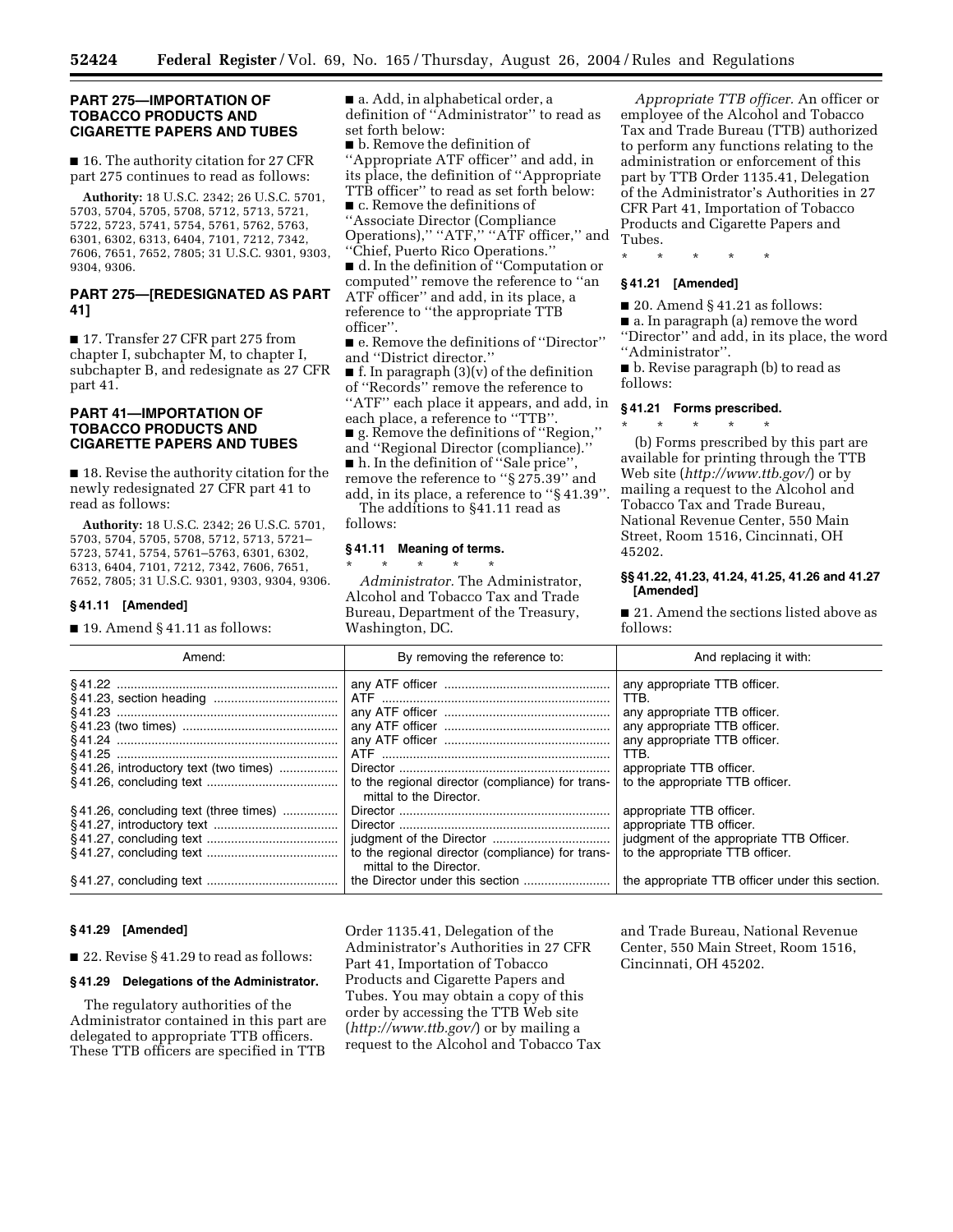#### **PART 275—IMPORTATION OF TOBACCO PRODUCTS AND CIGARETTE PAPERS AND TUBES**

■ 16. The authority citation for 27 CFR part 275 continues to read as follows:

**Authority:** 18 U.S.C. 2342; 26 U.S.C. 5701, 5703, 5704, 5705, 5708, 5712, 5713, 5721, 5722, 5723, 5741, 5754, 5761, 5762, 5763, 6301, 6302, 6313, 6404, 7101, 7212, 7342, 7606, 7651, 7652, 7805; 31 U.S.C. 9301, 9303, 9304, 9306.

## **PART 275—[REDESIGNATED AS PART 41]**

■ 17. Transfer 27 CFR part 275 from chapter I, subchapter M, to chapter I, subchapter B, and redesignate as 27 CFR part 41.

# **PART 41—IMPORTATION OF TOBACCO PRODUCTS AND CIGARETTE PAPERS AND TUBES**

■ 18. Revise the authority citation for the newly redesignated 27 CFR part 41 to read as follows:

**Authority:** 18 U.S.C. 2342; 26 U.S.C. 5701, 5703, 5704, 5705, 5708, 5712, 5713, 5721– 5723, 5741, 5754, 5761–5763, 6301, 6302, 6313, 6404, 7101, 7212, 7342, 7606, 7651, 7652, 7805; 31 U.S.C. 9301, 9303, 9304, 9306.

#### **§ 41.11 [Amended]**

 $\blacksquare$  19. Amend § 41.11 as follows:

■ a. Add, in alphabetical order, a definition of ''Administrator'' to read as set forth below:

■ **b**. Remove the definition of ''Appropriate ATF officer'' and add, in its place, the definition of ''Appropriate TTB officer'' to read as set forth below:

■ c. Remove the definitions of ''Associate Director (Compliance Operations)," "ATF," "ATF officer," and ''Chief, Puerto Rico Operations.''

■ d. In the definition of "Computation or computed'' remove the reference to ''an ATF officer'' and add, in its place, a reference to ''the appropriate TTB officer''.

■ e. Remove the definitions of "Director" and ''District director.''

■ f. In paragraph (3)(v) of the definition of ''Records'' remove the reference to "ATF" each place it appears, and add, in each place, a reference to ''TTB''. ■ g. Remove the definitions of ''Region,'' and ''Regional Director (compliance).''

■ h. In the definition of "Sale price", remove the reference to ''§ 275.39'' and add, in its place, a reference to ''§ 41.39''.

The additions to §41.11 read as follows:

## **§ 41.11 Meaning of terms.**

\* \* \* \* \* *Administrator.* The Administrator, Alcohol and Tobacco Tax and Trade Bureau, Department of the Treasury, Washington, DC.

*Appropriate TTB officer.* An officer or employee of the Alcohol and Tobacco Tax and Trade Bureau (TTB) authorized to perform any functions relating to the administration or enforcement of this part by TTB Order 1135.41, Delegation of the Administrator's Authorities in 27 CFR Part 41, Importation of Tobacco Products and Cigarette Papers and Tubes.

\* \* \* \* \*

### **§ 41.21 [Amended]**

■ 20. Amend § 41.21 as follows:

■ a. In paragraph (a) remove the word ''Director'' and add, in its place, the word ''Administrator''.

■ b. Revise paragraph (b) to read as follows:

# **§ 41.21 Forms prescribed.**

\* \* \* \* \* (b) Forms prescribed by this part are available for printing through the TTB Web site (*http://www.ttb.gov/*) or by mailing a request to the Alcohol and Tobacco Tax and Trade Bureau, National Revenue Center, 550 Main Street, Room 1516, Cincinnati, OH 45202.

### **§§ 41.22, 41.23, 41.24, 41.25, 41.26 and 41.27 [Amended]**

■ 21. Amend the sections listed above as follows:

| Amend:                                    | By removing the reference to:                                               | And replacing it with:                                                                                                                                                                                      |
|-------------------------------------------|-----------------------------------------------------------------------------|-------------------------------------------------------------------------------------------------------------------------------------------------------------------------------------------------------------|
| §41.26, introductory text (two times)     | to the regional director (compliance) for trans-<br>mittal to the Director. | any appropriate TTB officer.<br>TTB.<br>any appropriate TTB officer.<br>any appropriate TTB officer.<br>any appropriate TTB officer.<br>TTB.<br>appropriate TTB officer.<br>to the appropriate TTB officer. |
| $\S$ 41.26, concluding text (three times) | to the regional director (compliance) for trans-<br>mittal to the Director. | appropriate TTB officer.<br>appropriate TTB officer.<br>judgment of the appropriate TTB Officer.<br>to the appropriate TTB officer.<br>the appropriate TTB officer under this section.                      |

### **§ 41.29 [Amended]**

■ 22. Revise § 41.29 to read as follows:

### **§ 41.29 Delegations of the Administrator.**

The regulatory authorities of the Administrator contained in this part are delegated to appropriate TTB officers. These TTB officers are specified in TTB

Order 1135.41, Delegation of the Administrator's Authorities in 27 CFR Part 41, Importation of Tobacco Products and Cigarette Papers and Tubes. You may obtain a copy of this order by accessing the TTB Web site (*http://www.ttb.gov/*) or by mailing a request to the Alcohol and Tobacco Tax

and Trade Bureau, National Revenue Center, 550 Main Street, Room 1516, Cincinnati, OH 45202.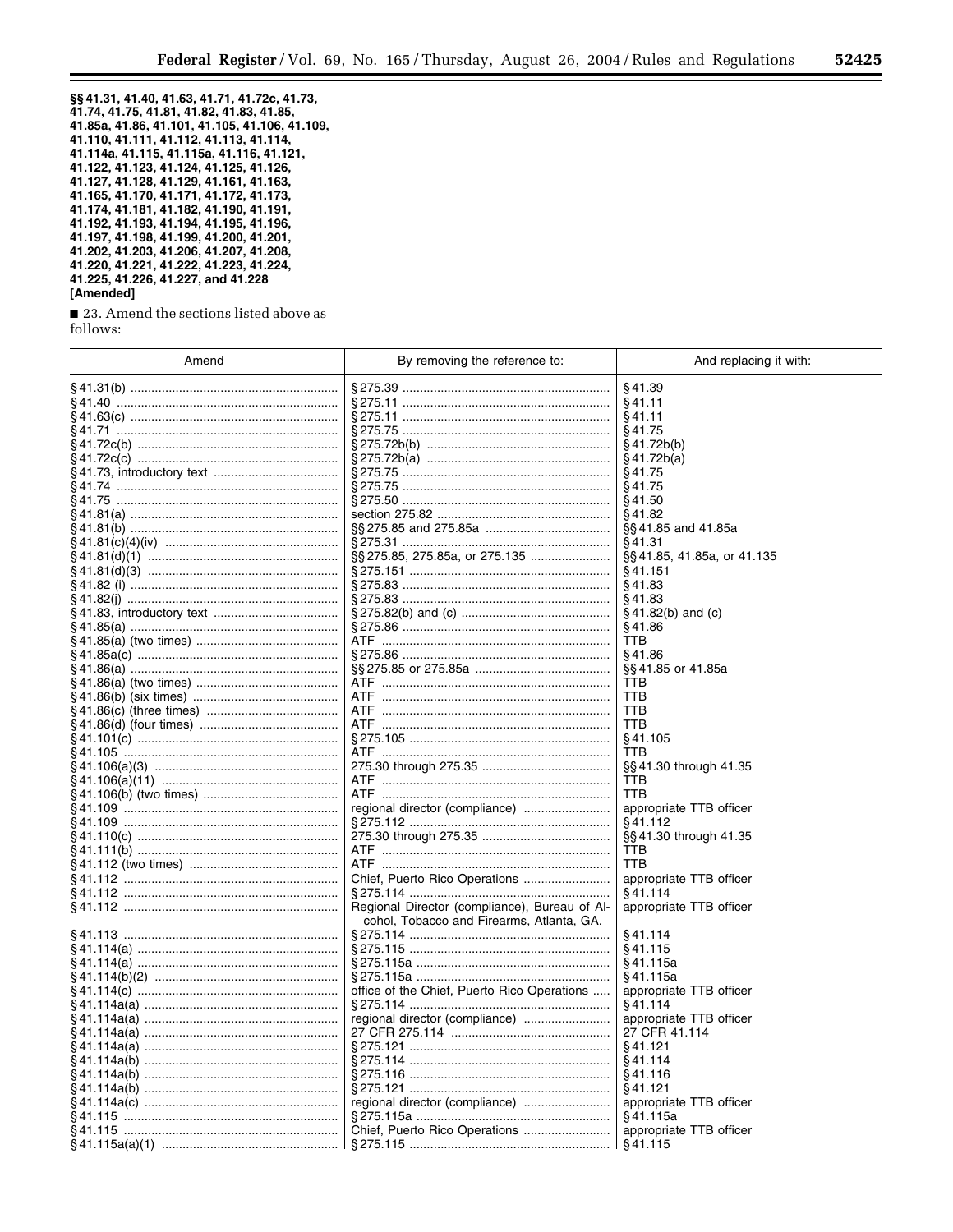۰

§§ 41.31, 41.40, 41.63, 41.71, 41.72c, 41.73,<br>41.74, 41.75, 41.81, 41.82, 41.83, 41.85, 41.85a, 41.86, 41.101, 41.105, 41.106, 41.109, 41.110, 41.111, 41.112, 41.113, 41.114,<br>41.114a, 41.115, 41.115a, 41.116, 41.121, 41.122, 41.123, 41.124, 41.125, 41.126, 41.127, 41.128, 41.129, 41.161, 41.163, 41.165, 41.170, 41.171, 41.172, 41.173, 41.174, 41.181, 41.182, 41.190, 41.191,<br>41.192, 41.193, 41.194, 41.195, 41.196, 41.197, 41.198, 41.199, 41.200, 41.201, 41.202, 41.203, 41.206, 41.207, 41.208, 41.220, 41.221, 41.222, 41.223, 41.224, 41.225, 41.226, 41.227, and 41.228 [Amended]

23. Amend the sections listed above as follows:

| Amend | By removing the reference to:                                                              | And replacing it with:     |
|-------|--------------------------------------------------------------------------------------------|----------------------------|
|       |                                                                                            | §41.39                     |
|       |                                                                                            | §41.11                     |
|       |                                                                                            | §41.11                     |
|       |                                                                                            | §41.75                     |
|       |                                                                                            | §41.72b(b)                 |
|       |                                                                                            | §41.72b(a)                 |
|       |                                                                                            | §41.75                     |
|       |                                                                                            | §41.75                     |
|       |                                                                                            | §41.50                     |
|       |                                                                                            | §41.82                     |
|       |                                                                                            | §§41.85 and 41.85a         |
|       |                                                                                            | \$41.31                    |
|       |                                                                                            | §§41.85, 41.85a, or 41.135 |
|       |                                                                                            | §41.151                    |
|       |                                                                                            | \$41.83                    |
|       |                                                                                            | §41.83                     |
|       |                                                                                            | $§$ 41.82(b) and (c)       |
|       |                                                                                            | §41.86                     |
|       |                                                                                            | TTB                        |
|       |                                                                                            | §41.86                     |
|       |                                                                                            | §§41.85 or 41.85a          |
|       | ATF                                                                                        | TTB                        |
|       | ATF                                                                                        | <b>TTB</b>                 |
|       | ATF                                                                                        | TTB                        |
|       | ATF                                                                                        | TTB                        |
|       |                                                                                            | §41.105                    |
|       |                                                                                            | <b>TTB</b>                 |
|       |                                                                                            | §§41.30 through 41.35      |
|       | ATF.                                                                                       | TTB                        |
|       |                                                                                            | TTB                        |
|       |                                                                                            | appropriate TTB officer    |
|       |                                                                                            | §41.112                    |
|       |                                                                                            | §§41.30 through 41.35      |
|       | ATF.                                                                                       | TTB                        |
|       | ATF                                                                                        | TTB                        |
|       |                                                                                            | appropriate TTB officer    |
|       |                                                                                            | §41.114                    |
|       | Regional Director (compliance), Bureau of Al-<br>cohol, Tobacco and Firearms, Atlanta, GA. | appropriate TTB officer    |
|       |                                                                                            | §41.114                    |
|       |                                                                                            | §41.115                    |
|       |                                                                                            | §41.115a                   |
|       |                                                                                            | §41.115a                   |
|       | office of the Chief, Puerto Rico Operations                                                | appropriate TTB officer    |
|       |                                                                                            | §41.114                    |
|       |                                                                                            | appropriate TTB officer    |
|       |                                                                                            | 27 CFR 41.114              |
|       |                                                                                            | \$41.121                   |
|       |                                                                                            | §41.114                    |
|       |                                                                                            | §41.116                    |
|       |                                                                                            | §41.121                    |
|       |                                                                                            | appropriate TTB officer    |
|       |                                                                                            | §41.115a                   |
|       |                                                                                            | appropriate TTB officer    |
|       |                                                                                            | §41.115                    |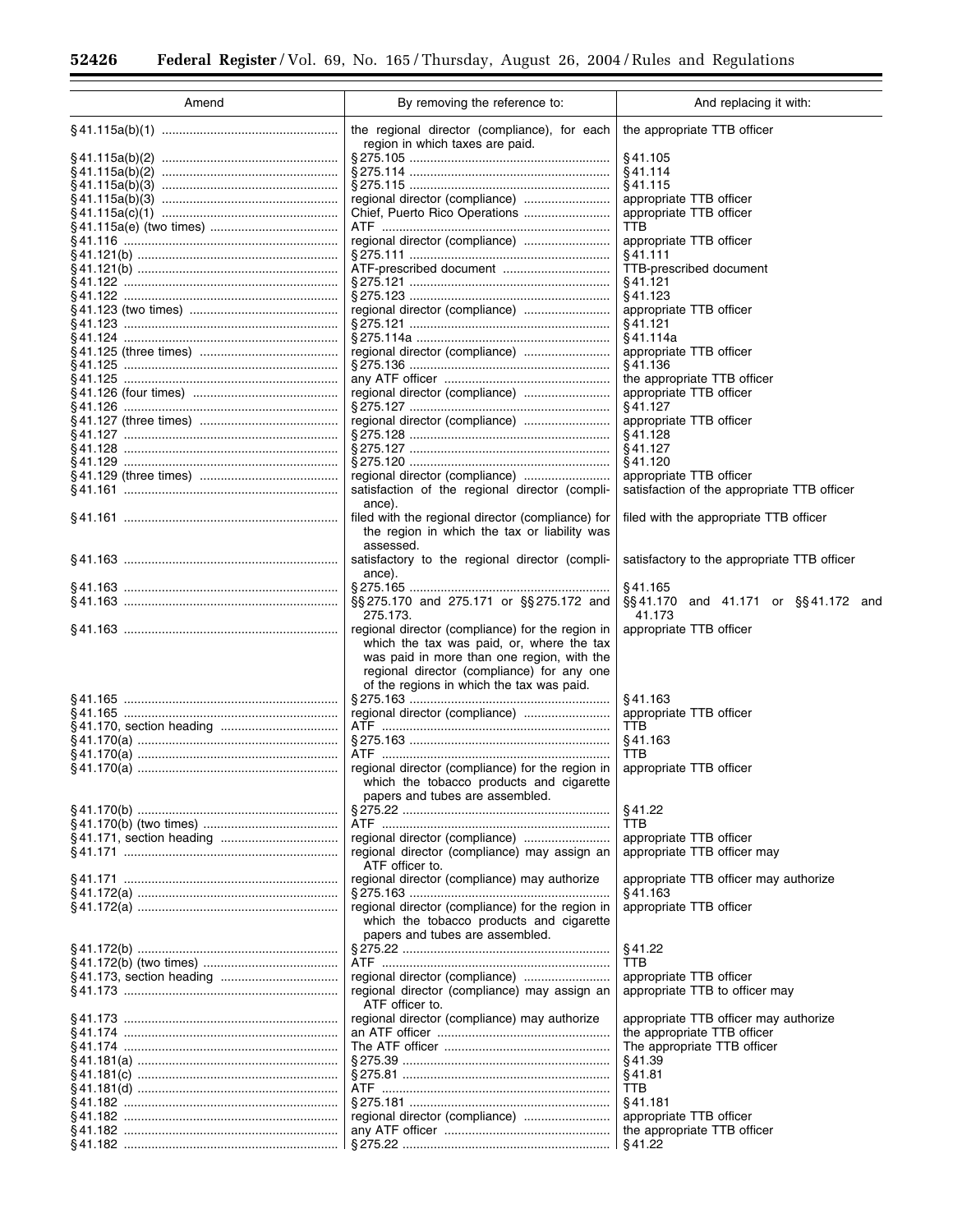÷.

 $\equiv$ 

| Amend | By removing the reference to:                                                                                                                                                                                                          | And replacing it with:                        |
|-------|----------------------------------------------------------------------------------------------------------------------------------------------------------------------------------------------------------------------------------------|-----------------------------------------------|
|       | the regional director (compliance), for each<br>region in which taxes are paid.                                                                                                                                                        | the appropriate TTB officer                   |
|       |                                                                                                                                                                                                                                        | §41.105                                       |
|       |                                                                                                                                                                                                                                        | §41.114                                       |
|       |                                                                                                                                                                                                                                        | §41.115                                       |
|       |                                                                                                                                                                                                                                        | appropriate TTB officer                       |
|       |                                                                                                                                                                                                                                        | appropriate TTB officer                       |
|       |                                                                                                                                                                                                                                        | TTB                                           |
|       | regional director (compliance)                                                                                                                                                                                                         | appropriate TTB officer                       |
|       |                                                                                                                                                                                                                                        | §41.111                                       |
|       |                                                                                                                                                                                                                                        | TTB-prescribed document                       |
|       |                                                                                                                                                                                                                                        | §41.121                                       |
|       |                                                                                                                                                                                                                                        | §41.123                                       |
|       | regional director (compliance)                                                                                                                                                                                                         | appropriate TTB officer                       |
|       |                                                                                                                                                                                                                                        | §41.121                                       |
|       |                                                                                                                                                                                                                                        | §41.114a                                      |
|       | regional director (compliance)                                                                                                                                                                                                         | appropriate TTB officer                       |
|       |                                                                                                                                                                                                                                        | §41.136                                       |
|       |                                                                                                                                                                                                                                        | the appropriate TTB officer                   |
|       |                                                                                                                                                                                                                                        | appropriate TTB officer                       |
|       |                                                                                                                                                                                                                                        | §41.127                                       |
|       |                                                                                                                                                                                                                                        | appropriate TTB officer                       |
|       |                                                                                                                                                                                                                                        | §41.128                                       |
|       |                                                                                                                                                                                                                                        | §41.127                                       |
|       |                                                                                                                                                                                                                                        | §41.120                                       |
|       |                                                                                                                                                                                                                                        | appropriate TTB officer                       |
|       | satisfaction of the regional director (compli-<br>ance).                                                                                                                                                                               | satisfaction of the appropriate TTB officer   |
|       | filed with the regional director (compliance) for<br>the region in which the tax or liability was                                                                                                                                      | filed with the appropriate TTB officer        |
|       | assessed.<br>satisfactory to the regional director (compli-                                                                                                                                                                            | satisfactory to the appropriate TTB officer   |
|       | ance).                                                                                                                                                                                                                                 | §41.165                                       |
|       | §§275.170 and 275.171 or §§275.172 and<br>275.173.                                                                                                                                                                                     | §§41.170 and 41.171 or §§41.172 and<br>41.173 |
|       | regional director (compliance) for the region in<br>which the tax was paid, or, where the tax<br>was paid in more than one region, with the<br>regional director (compliance) for any one<br>of the regions in which the tax was paid. | appropriate TTB officer                       |
|       |                                                                                                                                                                                                                                        | §41.163                                       |
|       | regional director (compliance)                                                                                                                                                                                                         | appropriate TTB officer                       |
|       |                                                                                                                                                                                                                                        | TTB                                           |
|       |                                                                                                                                                                                                                                        | §41.163                                       |
|       |                                                                                                                                                                                                                                        | TTB                                           |
|       | regional director (compliance) for the region in<br>which the tobacco products and cigarette<br>papers and tubes are assembled.                                                                                                        | appropriate TTB officer                       |
|       |                                                                                                                                                                                                                                        | §41.22                                        |
|       |                                                                                                                                                                                                                                        | TTB                                           |
|       |                                                                                                                                                                                                                                        | appropriate TTB officer                       |
|       | regional director (compliance) may assign an<br>ATF officer to.                                                                                                                                                                        | appropriate TTB officer may                   |
|       | regional director (compliance) may authorize                                                                                                                                                                                           | appropriate TTB officer may authorize         |
|       |                                                                                                                                                                                                                                        | §41.163                                       |
|       | regional director (compliance) for the region in<br>which the tobacco products and cigarette<br>papers and tubes are assembled.                                                                                                        | appropriate TTB officer                       |
|       |                                                                                                                                                                                                                                        | §41.22                                        |
|       |                                                                                                                                                                                                                                        | TTB                                           |
|       |                                                                                                                                                                                                                                        | appropriate TTB officer                       |
|       | regional director (compliance) may assign an<br>ATF officer to.                                                                                                                                                                        | appropriate TTB to officer may                |
|       | regional director (compliance) may authorize                                                                                                                                                                                           | appropriate TTB officer may authorize         |
|       |                                                                                                                                                                                                                                        | the appropriate TTB officer                   |
|       |                                                                                                                                                                                                                                        | The appropriate TTB officer                   |
|       |                                                                                                                                                                                                                                        | §41.39                                        |
|       |                                                                                                                                                                                                                                        | §41.81                                        |
|       |                                                                                                                                                                                                                                        | TTB                                           |
|       |                                                                                                                                                                                                                                        | §41.181                                       |
|       |                                                                                                                                                                                                                                        | appropriate TTB officer                       |
|       |                                                                                                                                                                                                                                        | the appropriate TTB officer                   |
|       |                                                                                                                                                                                                                                        | §41.22                                        |